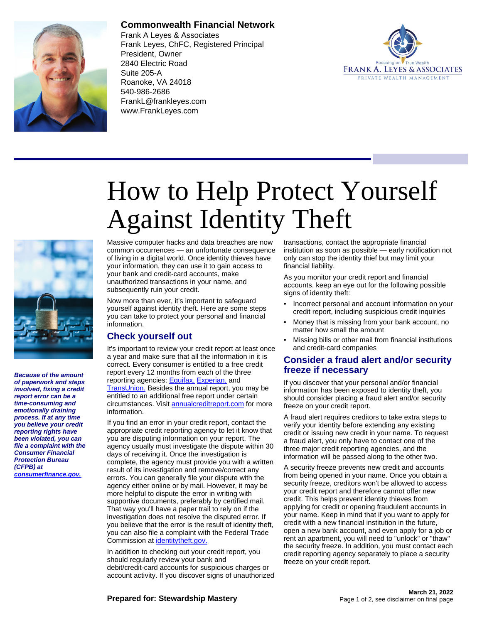

## **Commonwealth Financial Network**

Frank A Leyes & Associates Frank Leyes, ChFC, Registered Principal President, Owner 2840 Electric Road Suite 205-A Roanoke, VA 24018 540-986-2686 FrankL@frankleyes.com www.FrankLeyes.com



# How to Help Protect Yourself Against Identity Theft



**Because of the amount of paperwork and steps involved, fixing a credit report error can be a time-consuming and emotionally draining process. If at any time you believe your credit reporting rights have been violated, you can file a complaint with the Consumer Financial Protection Bureau (CFPB) at [consumerfinance.gov.](https://www.consumerfinance.gov)**

Massive computer hacks and data breaches are now common occurrences — an unfortunate consequence of living in a digital world. Once identity thieves have your information, they can use it to gain access to your bank and credit-card accounts, make unauthorized transactions in your name, and subsequently ruin your credit.

Now more than ever, it's important to safeguard yourself against identity theft. Here are some steps you can take to protect your personal and financial information.

## **Check yourself out**

It's important to review your credit report at least once a year and make sure that all the information in it is correct. Every consumer is entitled to a free credit report every 12 months from each of the three reporting agencies: **Equifax**, [Experian,](https://www.experian.com) and [TransUnion.](https://www.transunion.com) Besides the annual report, you may be entitled to an additional free report under certain circumstances. Visit [annualcreditreport.com](https://www.annualcreditreport.com) for more information.

If you find an error in your credit report, contact the appropriate credit reporting agency to let it know that you are disputing information on your report. The agency usually must investigate the dispute within 30 days of receiving it. Once the investigation is complete, the agency must provide you with a written result of its investigation and remove/correct any errors. You can generally file your dispute with the agency either online or by mail. However, it may be more helpful to dispute the error in writing with supportive documents, preferably by certified mail. That way you'll have a paper trail to rely on if the investigation does not resolve the disputed error. If you believe that the error is the result of identity theft, you can also file a complaint with the Federal Trade Commission at [identitytheft.gov.](https://www.identitytheft.gov)

In addition to checking out your credit report, you should regularly review your bank and debit/credit-card accounts for suspicious charges or account activity. If you discover signs of unauthorized transactions, contact the appropriate financial institution as soon as possible — early notification not only can stop the identity thief but may limit your financial liability.

As you monitor your credit report and financial accounts, keep an eye out for the following possible signs of identity theft:

- Incorrect personal and account information on your credit report, including suspicious credit inquiries
- Money that is missing from your bank account, no matter how small the amount
- Missing bills or other mail from financial institutions and credit-card companies

#### **Consider a fraud alert and/or security freeze if necessary**

If you discover that your personal and/or financial information has been exposed to identity theft, you should consider placing a fraud alert and/or security freeze on your credit report.

A fraud alert requires creditors to take extra steps to verify your identity before extending any existing credit or issuing new credit in your name. To request a fraud alert, you only have to contact one of the three major credit reporting agencies, and the information will be passed along to the other two.

A security freeze prevents new credit and accounts from being opened in your name. Once you obtain a security freeze, creditors won't be allowed to access your credit report and therefore cannot offer new credit. This helps prevent identity thieves from applying for credit or opening fraudulent accounts in your name. Keep in mind that if you want to apply for credit with a new financial institution in the future, open a new bank account, and even apply for a job or rent an apartment, you will need to "unlock" or "thaw" the security freeze. In addition, you must contact each credit reporting agency separately to place a security freeze on your credit report.